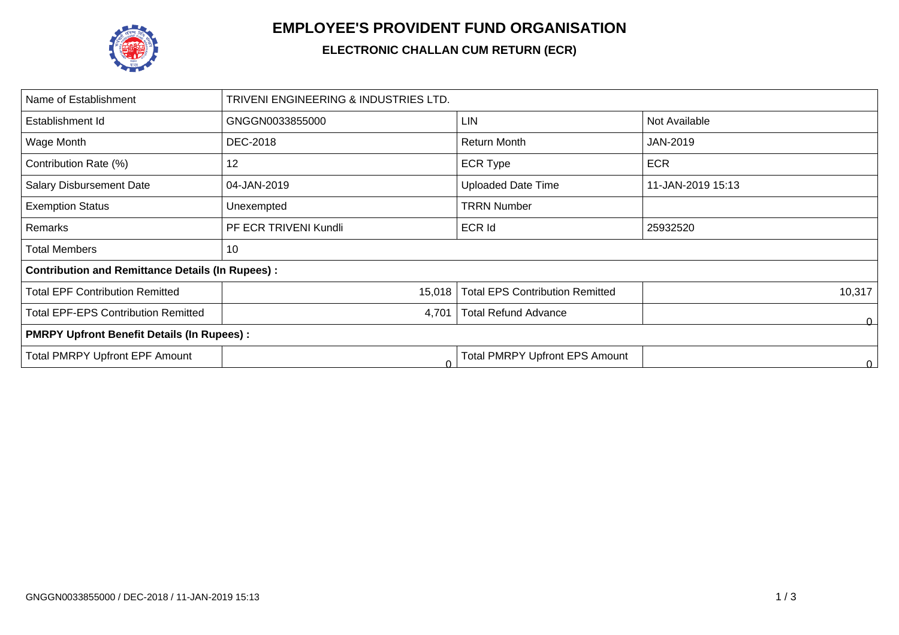

## **EMPLOYEE'S PROVIDENT FUND ORGANISATION**

## **ELECTRONIC CHALLAN CUM RETURN (ECR)**

| TRIVENI ENGINEERING & INDUSTRIES LTD.                   |                                        |                   |  |  |  |  |  |
|---------------------------------------------------------|----------------------------------------|-------------------|--|--|--|--|--|
| GNGGN0033855000                                         | LIN                                    | Not Available     |  |  |  |  |  |
| DEC-2018                                                | Return Month                           | JAN-2019          |  |  |  |  |  |
| 12                                                      | <b>ECR Type</b>                        | <b>ECR</b>        |  |  |  |  |  |
| 04-JAN-2019                                             | <b>Uploaded Date Time</b>              | 11-JAN-2019 15:13 |  |  |  |  |  |
| Unexempted                                              | <b>TRRN Number</b>                     |                   |  |  |  |  |  |
| PF ECR TRIVENI Kundli                                   | <b>ECR Id</b>                          | 25932520          |  |  |  |  |  |
| 10                                                      |                                        |                   |  |  |  |  |  |
| <b>Contribution and Remittance Details (In Rupees):</b> |                                        |                   |  |  |  |  |  |
| 15,018                                                  | <b>Total EPS Contribution Remitted</b> | 10,317            |  |  |  |  |  |
| 4,701                                                   | <b>Total Refund Advance</b>            | 0                 |  |  |  |  |  |
| <b>PMRPY Upfront Benefit Details (In Rupees):</b>       |                                        |                   |  |  |  |  |  |
| C                                                       | <b>Total PMRPY Upfront EPS Amount</b>  | 0.                |  |  |  |  |  |
|                                                         |                                        |                   |  |  |  |  |  |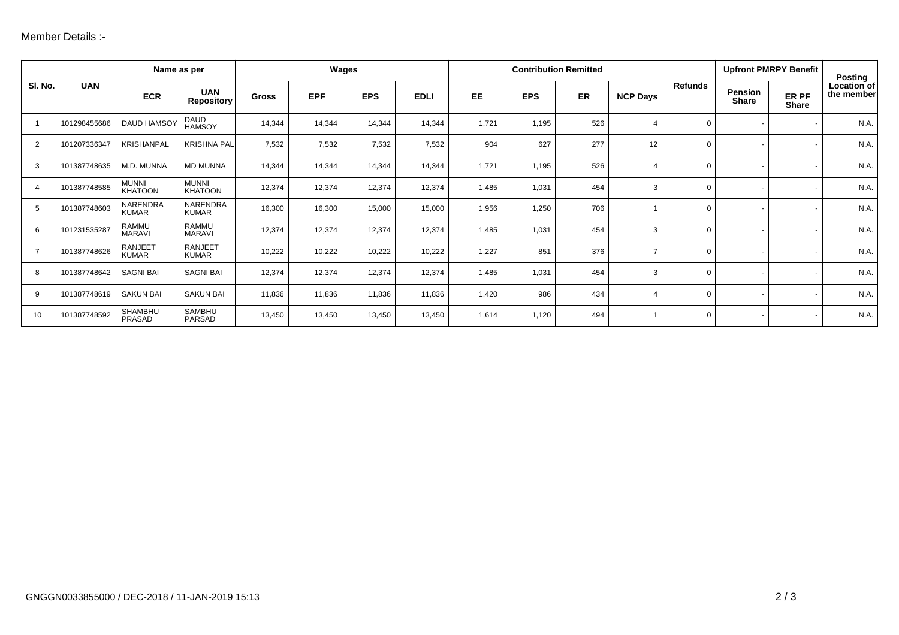| SI. No.        | <b>UAN</b>   | Name as per                    |                                 | Wages        |            |            | <b>Contribution Remitted</b> |           |            |     |                 | <b>Upfront PMRPY Benefit</b> |                         | Posting               |                           |
|----------------|--------------|--------------------------------|---------------------------------|--------------|------------|------------|------------------------------|-----------|------------|-----|-----------------|------------------------------|-------------------------|-----------------------|---------------------------|
|                |              | <b>ECR</b>                     | <b>UAN</b><br><b>Repository</b> | <b>Gross</b> | <b>EPF</b> | <b>EPS</b> | <b>EDLI</b>                  | <b>EE</b> | <b>EPS</b> | ER  | <b>NCP Days</b> | <b>Refunds</b>               | <b>Pension</b><br>Share | ER PF<br><b>Share</b> | Location of<br>the member |
|                | 101298455686 | <b>DAUD HAMSOY</b>             | DAUD<br>HAMSOY                  | 14,344       | 14,344     | 14,344     | 14,344                       | 1,721     | 1,195      | 526 | 4               | $\mathbf 0$                  |                         |                       | N.A.                      |
| 2              | 101207336347 | <b>KRISHANPAL</b>              | <b>KRISHNA PAL</b>              | 7,532        | 7,532      | 7,532      | 7,532                        | 904       | 627        | 277 | 12              | $\Omega$                     |                         |                       | N.A.                      |
| 3              | 101387748635 | M.D. MUNNA                     | <b>MD MUNNA</b>                 | 14,344       | 14,344     | 14,344     | 14,344                       | 1,721     | 1,195      | 526 | 4               | $\Omega$                     |                         |                       | N.A.                      |
| 4              | 101387748585 | <b>MUNNI</b><br><b>KHATOON</b> | <b>MUNNI</b><br><b>KHATOON</b>  | 12,374       | 12,374     | 12,374     | 12,374                       | 1,485     | 1,031      | 454 | 3               | $\Omega$                     |                         |                       | N.A.                      |
| 5              | 101387748603 | NARENDRA<br><b>KUMAR</b>       | NARENDRA<br><b>KUMAR</b>        | 16,300       | 16,300     | 15,000     | 15,000                       | 1,956     | 1,250      | 706 |                 | $\Omega$                     |                         |                       | N.A.                      |
| 6              | 101231535287 | <b>RAMMU</b><br><b>MARAVI</b>  | <b>RAMMU</b><br><b>MARAVI</b>   | 12,374       | 12,374     | 12,374     | 12,374                       | 1,485     | 1,031      | 454 | 3               | $\Omega$                     |                         |                       | N.A.                      |
| $\overline{7}$ | 101387748626 | <b>RANJEET</b><br><b>KUMAR</b> | <b>RANJEET</b><br><b>KUMAR</b>  | 10,222       | 10,222     | 10,222     | 10,222                       | 1,227     | 851        | 376 | $\overline{ }$  | $\Omega$                     |                         |                       | N.A.                      |
| 8              | 101387748642 | <b>SAGNI BAI</b>               | <b>SAGNI BAI</b>                | 12,374       | 12,374     | 12,374     | 12,374                       | 1,485     | 1,031      | 454 | 3               | $\Omega$                     |                         |                       | N.A.                      |
| 9              | 101387748619 | <b>SAKUN BAI</b>               | <b>SAKUN BAI</b>                | 11,836       | 11,836     | 11,836     | 11,836                       | 1,420     | 986        | 434 | 4               | $\Omega$                     |                         |                       | N.A.                      |
| 10             | 101387748592 | <b>SHAMBHU</b><br>PRASAD       | <b>SAMBHU</b><br>PARSAD         | 13,450       | 13,450     | 13,450     | 13,450                       | 1,614     | 1,120      | 494 |                 | $\Omega$                     |                         |                       | N.A.                      |
|                |              |                                |                                 |              |            |            |                              |           |            |     |                 |                              |                         |                       |                           |